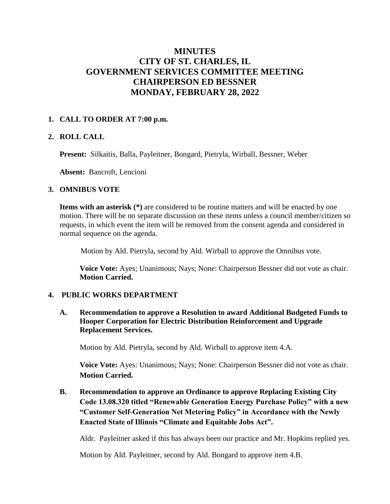# **MINUTES CITY OF ST. CHARLES, IL GOVERNMENT SERVICES COMMITTEE MEETING CHAIRPERSON ED BESSNER MONDAY, FEBRUARY 28, 2022**

## **1. CALL TO ORDER AT 7:00 p.m.**

## **2. ROLL CALL**

**Present:** Silkaitis, Balla, Payleitner, Bongard, Pietryla, Wirball, Bessner, Weber

**Absent:** Bancroft, Lencioni

#### **3. OMNIBUS VOTE**

**Items with an asterisk** (\*) are considered to be routine matters and will be enacted by one motion. There will be no separate discussion on these items unless a council member/citizen so requests, in which event the item will be removed from the consent agenda and considered in normal sequence on the agenda.

Motion by Ald. Pietryla, second by Ald. Wirball to approve the Omnibus vote.

**Voice Vote:** Ayes; Unanimous; Nays; None: Chairperson Bessner did not vote as chair. **Motion Carried.**

#### **4. PUBLIC WORKS DEPARTMENT**

 **A. Recommendation to approve a Resolution to award Additional Budgeted Funds to Hooper Corporation for Electric Distribution Reinforcement and Upgrade Replacement Services.** 

Motion by Ald. Pietryla, second by Ald. Wirball to approve item 4.A.

**Voice Vote:** Ayes: Unanimous; Nays; None: Chairperson Bessner did not vote as chair. **Motion Carried.**

 **B. Recommendation to approve an Ordinance to approve Replacing Existing City Code 13.08.320 titled "Renewable Generation Energy Purchase Policy" with a new "Customer Self-Generation Net Metering Policy" in Accordance with the Newly Enacted State of Illinois "Climate and Equitable Jobs Act".**

Aldr. Payleitner asked if this has always been our practice and Mr. Hopkins replied yes.

Motion by Ald. Payleitner, second by Ald. Bongard to approve item 4.B.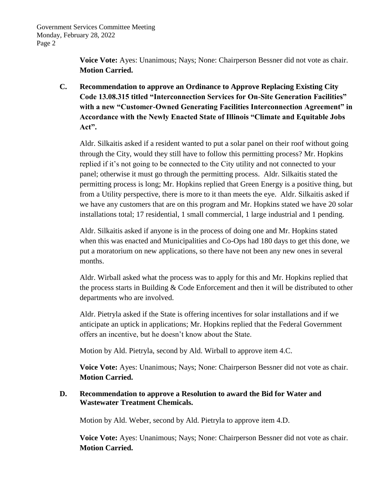**Voice Vote:** Ayes: Unanimous; Nays; None: Chairperson Bessner did not vote as chair. **Motion Carried.**

 **C. Recommendation to approve an Ordinance to Approve Replacing Existing City Code 13.08.315 titled "Interconnection Services for On-Site Generation Facilities" with a new "Customer-Owned Generating Facilities Interconnection Agreement" in Accordance with the Newly Enacted State of Illinois "Climate and Equitable Jobs Act".** 

Aldr. Silkaitis asked if a resident wanted to put a solar panel on their roof without going through the City, would they still have to follow this permitting process? Mr. Hopkins replied if it's not going to be connected to the City utility and not connected to your panel; otherwise it must go through the permitting process. Aldr. Silkaitis stated the permitting process is long; Mr. Hopkins replied that Green Energy is a positive thing, but from a Utility perspective, there is more to it than meets the eye. Aldr. Silkaitis asked if we have any customers that are on this program and Mr. Hopkins stated we have 20 solar installations total; 17 residential, 1 small commercial, 1 large industrial and 1 pending.

Aldr. Silkaitis asked if anyone is in the process of doing one and Mr. Hopkins stated when this was enacted and Municipalities and Co-Ops had 180 days to get this done, we put a moratorium on new applications, so there have not been any new ones in several months.

Aldr. Wirball asked what the process was to apply for this and Mr. Hopkins replied that the process starts in Building & Code Enforcement and then it will be distributed to other departments who are involved.

Aldr. Pietryla asked if the State is offering incentives for solar installations and if we anticipate an uptick in applications; Mr. Hopkins replied that the Federal Government offers an incentive, but he doesn't know about the State.

Motion by Ald. Pietryla, second by Ald. Wirball to approve item 4.C.

**Voice Vote:** Ayes: Unanimous; Nays; None: Chairperson Bessner did not vote as chair. **Motion Carried.**

# **D. Recommendation to approve a Resolution to award the Bid for Water and Wastewater Treatment Chemicals.**

Motion by Ald. Weber, second by Ald. Pietryla to approve item 4.D.

**Voice Vote:** Ayes: Unanimous; Nays; None: Chairperson Bessner did not vote as chair. **Motion Carried.**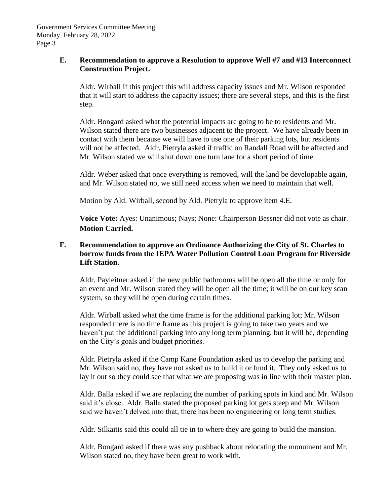# **E. Recommendation to approve a Resolution to approve Well #7 and #13 Interconnect Construction Project.**

Aldr. Wirball if this project this will address capacity issues and Mr. Wilson responded that it will start to address the capacity issues; there are several steps, and this is the first step.

Aldr. Bongard asked what the potential impacts are going to be to residents and Mr. Wilson stated there are two businesses adjacent to the project. We have already been in contact with them because we will have to use one of their parking lots, but residents will not be affected. Aldr. Pietryla asked if traffic on Randall Road will be affected and Mr. Wilson stated we will shut down one turn lane for a short period of time.

Aldr. Weber asked that once everything is removed, will the land be developable again, and Mr. Wilson stated no, we still need access when we need to maintain that well.

Motion by Ald. Wirball, second by Ald. Pietryla to approve item 4.E.

**Voice Vote:** Ayes: Unanimous; Nays; None: Chairperson Bessner did not vote as chair. **Motion Carried.**

# **F. Recommendation to approve an Ordinance Authorizing the City of St. Charles to borrow funds from the IEPA Water Pollution Control Loan Program for Riverside Lift Station.**

Aldr. Payleitner asked if the new public bathrooms will be open all the time or only for an event and Mr. Wilson stated they will be open all the time; it will be on our key scan system, so they will be open during certain times.

Aldr. Wirball asked what the time frame is for the additional parking lot; Mr. Wilson responded there is no time frame as this project is going to take two years and we haven't put the additional parking into any long term planning, but it will be, depending on the City's goals and budget priorities.

Aldr. Pietryla asked if the Camp Kane Foundation asked us to develop the parking and Mr. Wilson said no, they have not asked us to build it or fund it. They only asked us to lay it out so they could see that what we are proposing was in line with their master plan.

Aldr. Balla asked if we are replacing the number of parking spots in kind and Mr. Wilson said it's close. Aldr. Balla stated the proposed parking lot gets steep and Mr. Wilson said we haven't delved into that, there has been no engineering or long term studies.

Aldr. Silkaitis said this could all tie in to where they are going to build the mansion.

Aldr. Bongard asked if there was any pushback about relocating the monument and Mr. Wilson stated no, they have been great to work with.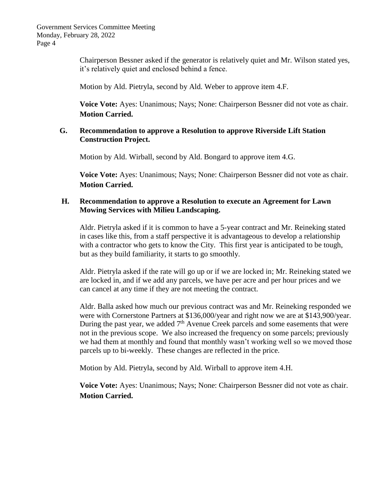Chairperson Bessner asked if the generator is relatively quiet and Mr. Wilson stated yes, it's relatively quiet and enclosed behind a fence.

Motion by Ald. Pietryla, second by Ald. Weber to approve item 4.F.

**Voice Vote:** Ayes: Unanimous; Nays; None: Chairperson Bessner did not vote as chair. **Motion Carried.**

## **G. Recommendation to approve a Resolution to approve Riverside Lift Station Construction Project.**

Motion by Ald. Wirball, second by Ald. Bongard to approve item 4.G.

**Voice Vote:** Ayes: Unanimous; Nays; None: Chairperson Bessner did not vote as chair. **Motion Carried.**

## **H. Recommendation to approve a Resolution to execute an Agreement for Lawn Mowing Services with Milieu Landscaping.**

Aldr. Pietryla asked if it is common to have a 5-year contract and Mr. Reineking stated in cases like this, from a staff perspective it is advantageous to develop a relationship with a contractor who gets to know the City. This first year is anticipated to be tough, but as they build familiarity, it starts to go smoothly.

Aldr. Pietryla asked if the rate will go up or if we are locked in; Mr. Reineking stated we are locked in, and if we add any parcels, we have per acre and per hour prices and we can cancel at any time if they are not meeting the contract.

Aldr. Balla asked how much our previous contract was and Mr. Reineking responded we were with Cornerstone Partners at \$136,000/year and right now we are at \$143,900/year. During the past year, we added  $7<sup>th</sup>$  Avenue Creek parcels and some easements that were not in the previous scope. We also increased the frequency on some parcels; previously we had them at monthly and found that monthly wasn't working well so we moved those parcels up to bi-weekly. These changes are reflected in the price.

Motion by Ald. Pietryla, second by Ald. Wirball to approve item 4.H.

**Voice Vote:** Ayes: Unanimous; Nays; None: Chairperson Bessner did not vote as chair. **Motion Carried.**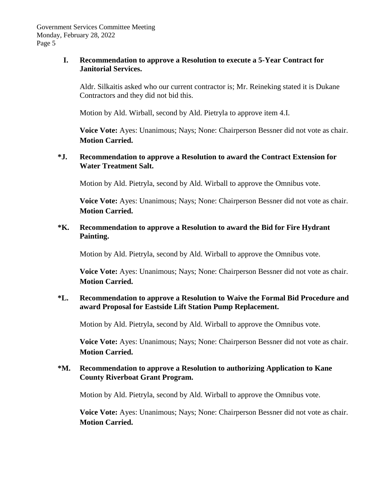## **I. Recommendation to approve a Resolution to execute a 5-Year Contract for Janitorial Services.**

Aldr. Silkaitis asked who our current contractor is; Mr. Reineking stated it is Dukane Contractors and they did not bid this.

Motion by Ald. Wirball, second by Ald. Pietryla to approve item 4.I.

**Voice Vote:** Ayes: Unanimous; Nays; None: Chairperson Bessner did not vote as chair. **Motion Carried.**

# **\*J. Recommendation to approve a Resolution to award the Contract Extension for Water Treatment Salt.**

Motion by Ald. Pietryla, second by Ald. Wirball to approve the Omnibus vote.

**Voice Vote:** Ayes: Unanimous; Nays; None: Chairperson Bessner did not vote as chair. **Motion Carried.**

# **\*K. Recommendation to approve a Resolution to award the Bid for Fire Hydrant Painting.**

Motion by Ald. Pietryla, second by Ald. Wirball to approve the Omnibus vote.

**Voice Vote:** Ayes: Unanimous; Nays; None: Chairperson Bessner did not vote as chair. **Motion Carried.**

# **\*L. Recommendation to approve a Resolution to Waive the Formal Bid Procedure and award Proposal for Eastside Lift Station Pump Replacement.**

Motion by Ald. Pietryla, second by Ald. Wirball to approve the Omnibus vote.

**Voice Vote:** Ayes: Unanimous; Nays; None: Chairperson Bessner did not vote as chair. **Motion Carried.**

# **\*M. Recommendation to approve a Resolution to authorizing Application to Kane County Riverboat Grant Program.**

Motion by Ald. Pietryla, second by Ald. Wirball to approve the Omnibus vote.

**Voice Vote:** Ayes: Unanimous; Nays; None: Chairperson Bessner did not vote as chair. **Motion Carried.**